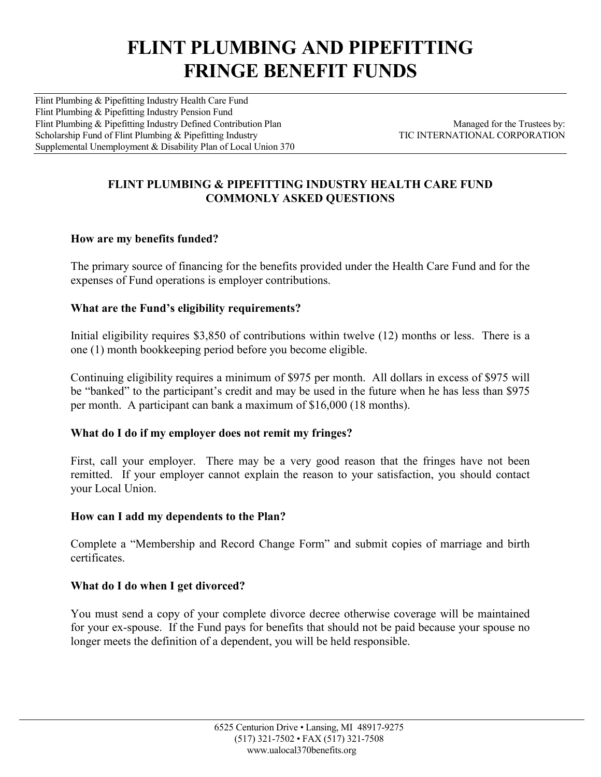# **FLINT PLUMBING AND PIPEFITTING FRINGE BENEFIT FUNDS**

Flint Plumbing & Pipefitting Industry Health Care Fund Flint Plumbing & Pipefitting Industry Pension Fund Flint Plumbing & Pipefitting Industry Defined Contribution Plan Managed for the Trustees by:<br>Scholarship Fund of Flint Plumbing & Pipefitting Industry TIC INTERNATIONAL CORPORATION Scholarship Fund of Flint Plumbing & Pipefitting Industry Supplemental Unemployment & Disability Plan of Local Union 370

# **FLINT PLUMBING & PIPEFITTING INDUSTRY HEALTH CARE FUND COMMONLY ASKED QUESTIONS**

# **How are my benefits funded?**

The primary source of financing for the benefits provided under the Health Care Fund and for the expenses of Fund operations is employer contributions.

### **What are the Fund's eligibility requirements?**

Initial eligibility requires \$3,850 of contributions within twelve (12) months or less. There is a one (1) month bookkeeping period before you become eligible.

Continuing eligibility requires a minimum of \$975 per month. All dollars in excess of \$975 will be "banked" to the participant's credit and may be used in the future when he has less than \$975 per month. A participant can bank a maximum of \$16,000 (18 months).

### **What do I do if my employer does not remit my fringes?**

First, call your employer. There may be a very good reason that the fringes have not been remitted. If your employer cannot explain the reason to your satisfaction, you should contact your Local Union.

### **How can I add my dependents to the Plan?**

Complete a "Membership and Record Change Form" and submit copies of marriage and birth certificates.

### **What do I do when I get divorced?**

You must send a copy of your complete divorce decree otherwise coverage will be maintained for your ex-spouse. If the Fund pays for benefits that should not be paid because your spouse no longer meets the definition of a dependent, you will be held responsible.